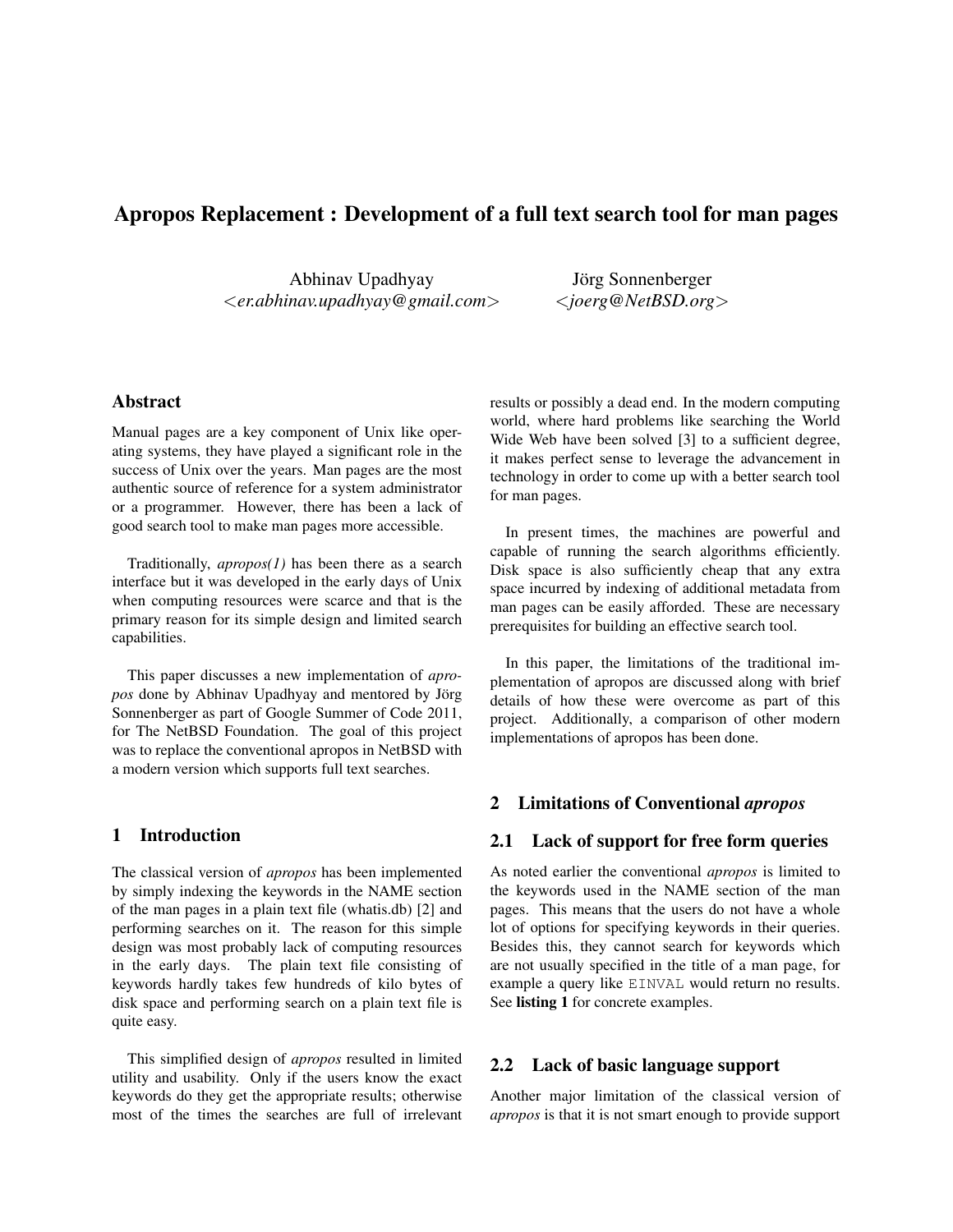# Apropos Replacement : Development of a full text search tool for man pages

Abhinav Upadhyay <*er.abhinav.upadhyay@gmail.com*>

Jörg Sonnenberger <*joerg@NetBSD.org*>

## Abstract

Manual pages are a key component of Unix like operating systems, they have played a significant role in the success of Unix over the years. Man pages are the most authentic source of reference for a system administrator or a programmer. However, there has been a lack of good search tool to make man pages more accessible.

Traditionally, *apropos(1)* has been there as a search interface but it was developed in the early days of Unix when computing resources were scarce and that is the primary reason for its simple design and limited search capabilities.

This paper discusses a new implementation of *apropos* done by Abhinav Upadhyay and mentored by Jörg Sonnenberger as part of Google Summer of Code 2011, for The NetBSD Foundation. The goal of this project was to replace the conventional apropos in NetBSD with a modern version which supports full text searches.

### 1 Introduction

The classical version of *apropos* has been implemented by simply indexing the keywords in the NAME section of the man pages in a plain text file (whatis.db) [2] and performing searches on it. The reason for this simple design was most probably lack of computing resources in the early days. The plain text file consisting of keywords hardly takes few hundreds of kilo bytes of disk space and performing search on a plain text file is quite easy.

This simplified design of *apropos* resulted in limited utility and usability. Only if the users know the exact keywords do they get the appropriate results; otherwise most of the times the searches are full of irrelevant results or possibly a dead end. In the modern computing world, where hard problems like searching the World Wide Web have been solved [3] to a sufficient degree, it makes perfect sense to leverage the advancement in technology in order to come up with a better search tool for man pages.

In present times, the machines are powerful and capable of running the search algorithms efficiently. Disk space is also sufficiently cheap that any extra space incurred by indexing of additional metadata from man pages can be easily afforded. These are necessary prerequisites for building an effective search tool.

In this paper, the limitations of the traditional implementation of apropos are discussed along with brief details of how these were overcome as part of this project. Additionally, a comparison of other modern implementations of apropos has been done.

## 2 Limitations of Conventional *apropos*

### 2.1 Lack of support for free form queries

As noted earlier the conventional *apropos* is limited to the keywords used in the NAME section of the man pages. This means that the users do not have a whole lot of options for specifying keywords in their queries. Besides this, they cannot search for keywords which are not usually specified in the title of a man page, for example a query like EINVAL would return no results. See listing 1 for concrete examples.

### 2.2 Lack of basic language support

Another major limitation of the classical version of *apropos* is that it is not smart enough to provide support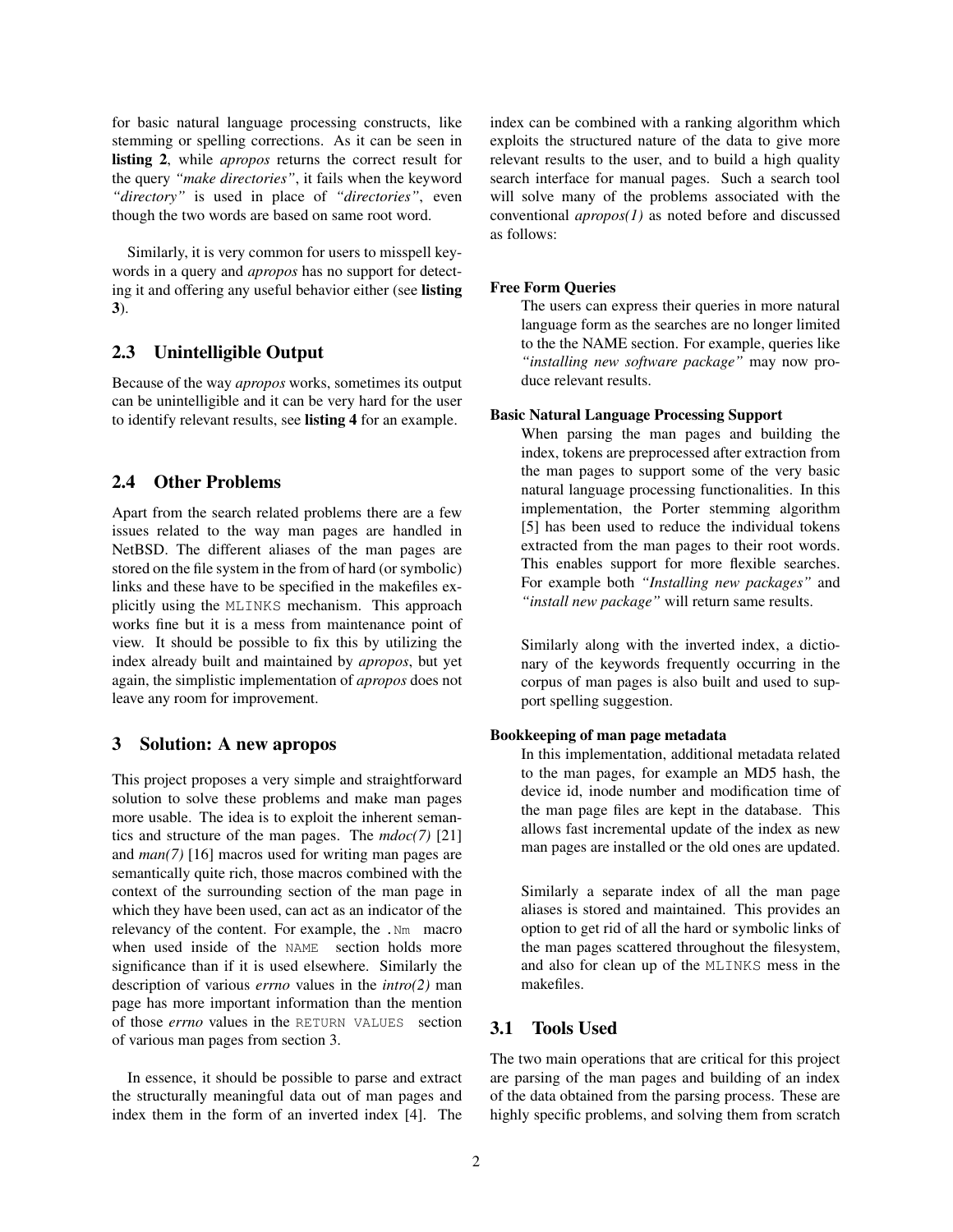for basic natural language processing constructs, like stemming or spelling corrections. As it can be seen in listing 2, while *apropos* returns the correct result for the query *"make directories"*, it fails when the keyword *"directory"* is used in place of *"directories"*, even though the two words are based on same root word.

Similarly, it is very common for users to misspell keywords in a query and *apropos* has no support for detecting it and offering any useful behavior either (see listing 3).

### 2.3 Unintelligible Output

Because of the way *apropos* works, sometimes its output can be unintelligible and it can be very hard for the user to identify relevant results, see listing 4 for an example.

## 2.4 Other Problems

Apart from the search related problems there are a few issues related to the way man pages are handled in NetBSD. The different aliases of the man pages are stored on the file system in the from of hard (or symbolic) links and these have to be specified in the makefiles explicitly using the MLINKS mechanism. This approach works fine but it is a mess from maintenance point of view. It should be possible to fix this by utilizing the index already built and maintained by *apropos*, but yet again, the simplistic implementation of *apropos* does not leave any room for improvement.

## 3 Solution: A new apropos

This project proposes a very simple and straightforward solution to solve these problems and make man pages more usable. The idea is to exploit the inherent semantics and structure of the man pages. The *mdoc(7)* [21] and *man(7)* [16] macros used for writing man pages are semantically quite rich, those macros combined with the context of the surrounding section of the man page in which they have been used, can act as an indicator of the relevancy of the content. For example, the .Nm macro when used inside of the NAME section holds more significance than if it is used elsewhere. Similarly the description of various *errno* values in the *intro(2)* man page has more important information than the mention of those *errno* values in the RETURN VALUES section of various man pages from section 3.

In essence, it should be possible to parse and extract the structurally meaningful data out of man pages and index them in the form of an inverted index [4]. The index can be combined with a ranking algorithm which exploits the structured nature of the data to give more relevant results to the user, and to build a high quality search interface for manual pages. Such a search tool will solve many of the problems associated with the conventional *apropos(1)* as noted before and discussed as follows:

#### Free Form Queries

The users can express their queries in more natural language form as the searches are no longer limited to the the NAME section. For example, queries like *"installing new software package"* may now produce relevant results.

### Basic Natural Language Processing Support

When parsing the man pages and building the index, tokens are preprocessed after extraction from the man pages to support some of the very basic natural language processing functionalities. In this implementation, the Porter stemming algorithm [5] has been used to reduce the individual tokens extracted from the man pages to their root words. This enables support for more flexible searches. For example both *"Installing new packages"* and *"install new package"* will return same results.

Similarly along with the inverted index, a dictionary of the keywords frequently occurring in the corpus of man pages is also built and used to support spelling suggestion.

### Bookkeeping of man page metadata

In this implementation, additional metadata related to the man pages, for example an MD5 hash, the device id, inode number and modification time of the man page files are kept in the database. This allows fast incremental update of the index as new man pages are installed or the old ones are updated.

Similarly a separate index of all the man page aliases is stored and maintained. This provides an option to get rid of all the hard or symbolic links of the man pages scattered throughout the filesystem, and also for clean up of the MLINKS mess in the makefiles.

### 3.1 Tools Used

The two main operations that are critical for this project are parsing of the man pages and building of an index of the data obtained from the parsing process. These are highly specific problems, and solving them from scratch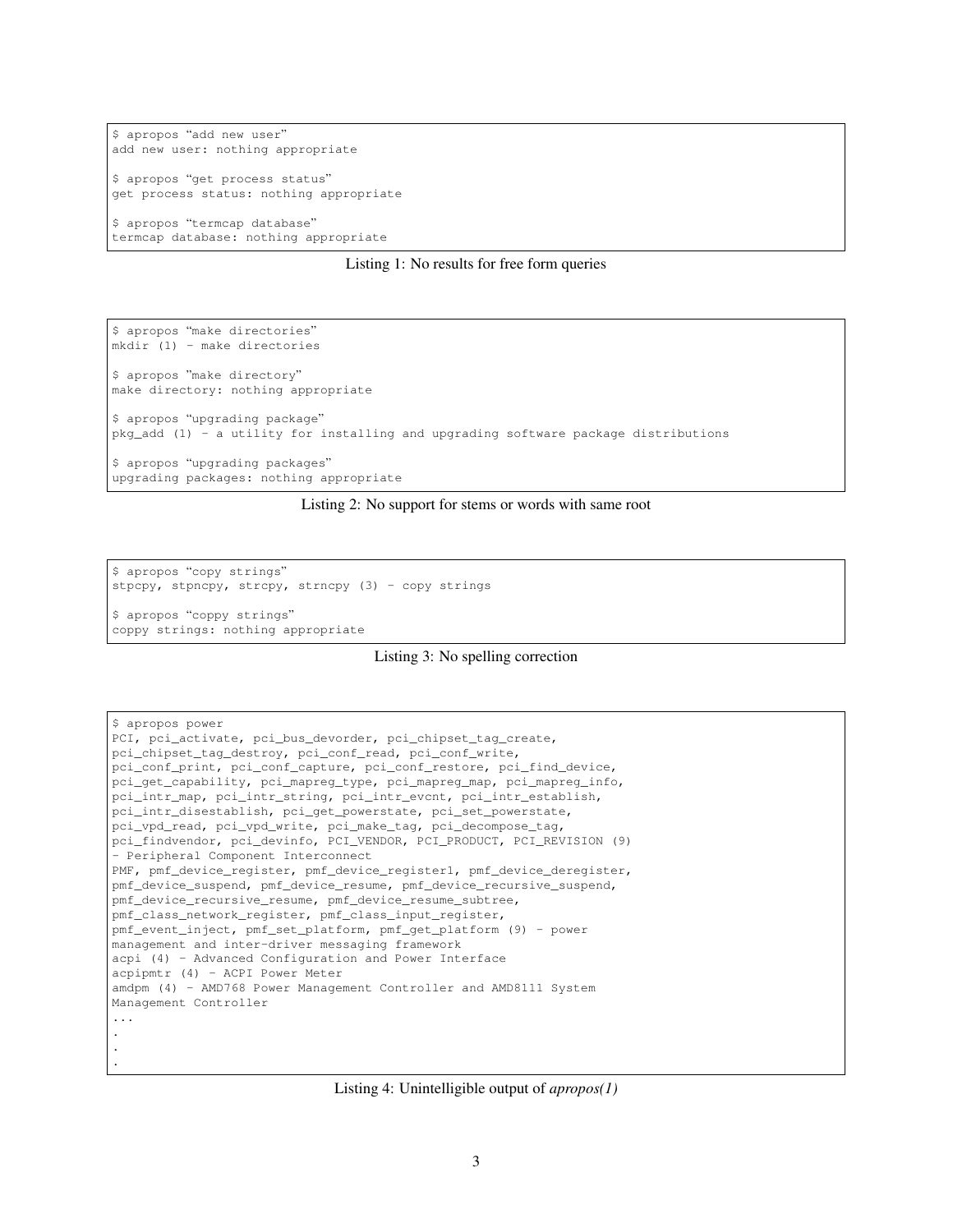```
$ apropos "add new user"
add new user: nothing appropriate
$ apropos "get process status"
get process status: nothing appropriate
$ apropos "termcap database"
termcap database: nothing appropriate
```
#### Listing 1: No results for free form queries

\$ apropos "make directories" mkdir (1) - make directories \$ apropos "make directory" make directory: nothing appropriate \$ apropos "upgrading package" pkg\_add (1) - a utility for installing and upgrading software package distributions \$ apropos "upgrading packages" upgrading packages: nothing appropriate

#### Listing 2: No support for stems or words with same root

\$ apropos "copy strings" stpcpy, stpncpy, strcpy, strncpy  $(3)$  - copy strings \$ apropos "coppy strings"

coppy strings: nothing appropriate

```
Listing 3: No spelling correction
```

```
$ apropos power
PCI, pci_activate, pci_bus_devorder, pci_chipset_tag_create,
pci_chipset_tag_destroy, pci_conf_read, pci_conf_write,
pci_conf_print, pci_conf_capture, pci_conf_restore, pci_find_device,
pci_get_capability, pci_mapreg_type, pci_mapreg_map, pci_mapreg_info,
pci_intr_map, pci_intr_string, pci_intr_evcnt, pci_intr_establish,
pci_intr_disestablish, pci_get_powerstate, pci_set_powerstate,
pci_vpd_read, pci_vpd_write, pci_make_tag, pci_decompose_tag,
pci_findvendor, pci_devinfo, PCI_VENDOR, PCI_PRODUCT, PCI_REVISION (9)
- Peripheral Component Interconnect
PMF, pmf_device_register, pmf_device_register1, pmf_device_deregister,
pmf_device_suspend, pmf_device_resume, pmf_device_recursive_suspend,
pmf_device_recursive_resume, pmf_device_resume_subtree,
pmf_class_network_register, pmf_class_input_register,
pmf_event_inject, pmf_set_platform, pmf_get_platform (9) - power
management and inter-driver messaging framework
acpi (4) - Advanced Configuration and Power Interface
acpipmtr (4) - ACPI Power Meter
amdpm (4) - AMD768 Power Management Controller and AMD8111 System
Management Controller
...
.
.
.
```
#### Listing 4: Unintelligible output of *apropos(1)*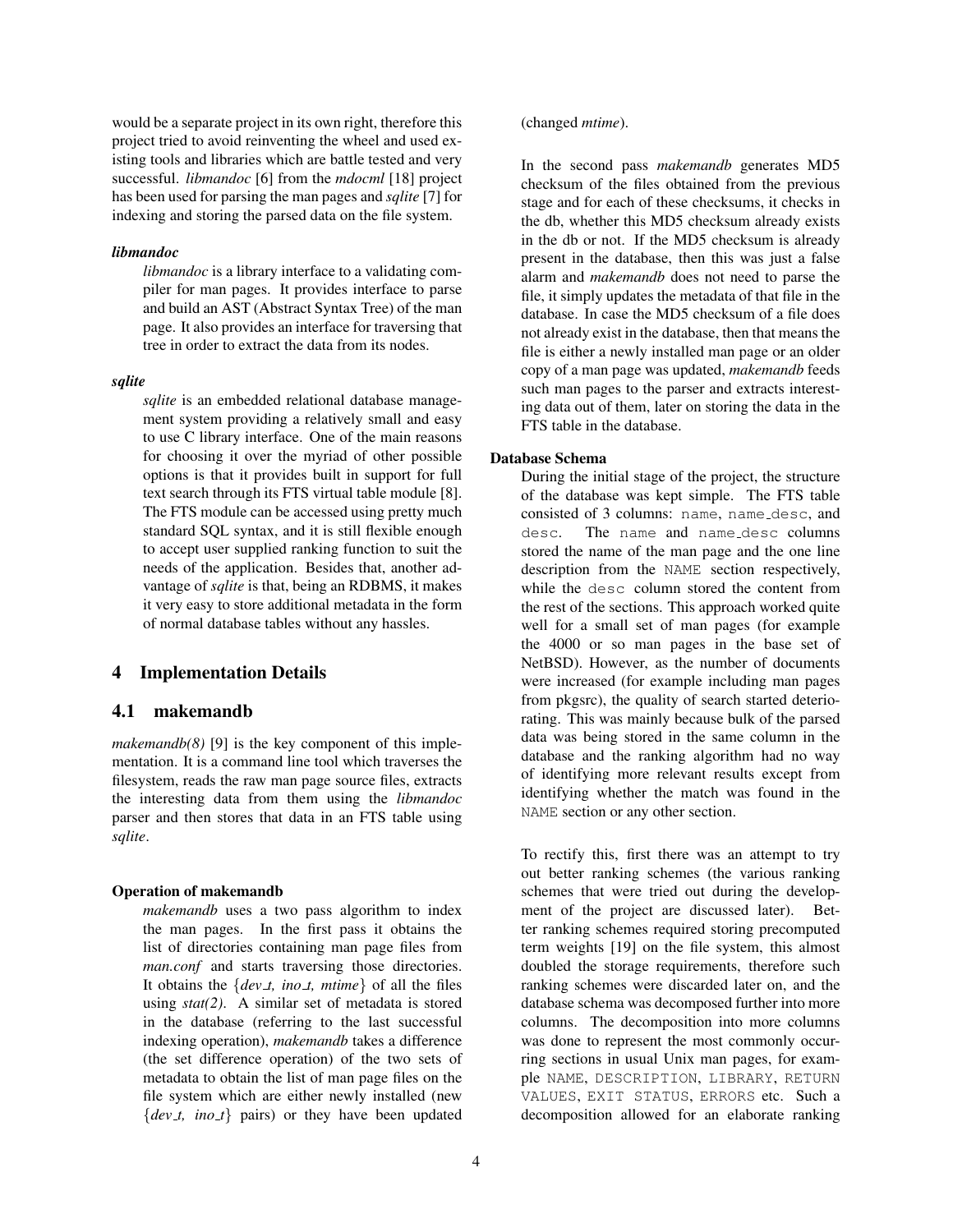would be a separate project in its own right, therefore this project tried to avoid reinventing the wheel and used existing tools and libraries which are battle tested and very successful. *libmandoc* [6] from the *mdocml* [18] project has been used for parsing the man pages and *sqlite* [7] for indexing and storing the parsed data on the file system.

#### *libmandoc*

*libmandoc* is a library interface to a validating compiler for man pages. It provides interface to parse and build an AST (Abstract Syntax Tree) of the man page. It also provides an interface for traversing that tree in order to extract the data from its nodes.

#### *sqlite*

*sqlite* is an embedded relational database management system providing a relatively small and easy to use C library interface. One of the main reasons for choosing it over the myriad of other possible options is that it provides built in support for full text search through its FTS virtual table module [8]. The FTS module can be accessed using pretty much standard SQL syntax, and it is still flexible enough to accept user supplied ranking function to suit the needs of the application. Besides that, another advantage of *sqlite* is that, being an RDBMS, it makes it very easy to store additional metadata in the form of normal database tables without any hassles.

### 4 Implementation Details

## 4.1 makemandb

*makemandb(8)* [9] is the key component of this implementation. It is a command line tool which traverses the filesystem, reads the raw man page source files, extracts the interesting data from them using the *libmandoc* parser and then stores that data in an FTS table using *sqlite*.

#### Operation of makemandb

*makemandb* uses a two pass algorithm to index the man pages. In the first pass it obtains the list of directories containing man page files from *man.conf* and starts traversing those directories. It obtains the  ${dev_t, ino_t, mtime}$  of all the files using *stat(2)*. A similar set of metadata is stored in the database (referring to the last successful indexing operation), *makemandb* takes a difference (the set difference operation) of the two sets of metadata to obtain the list of man page files on the file system which are either newly installed (new  ${dev_t, ino_t}$  pairs) or they have been updated

### (changed *mtime*).

In the second pass *makemandb* generates MD5 checksum of the files obtained from the previous stage and for each of these checksums, it checks in the db, whether this MD5 checksum already exists in the db or not. If the MD5 checksum is already present in the database, then this was just a false alarm and *makemandb* does not need to parse the file, it simply updates the metadata of that file in the database. In case the MD5 checksum of a file does not already exist in the database, then that means the file is either a newly installed man page or an older copy of a man page was updated, *makemandb* feeds such man pages to the parser and extracts interesting data out of them, later on storing the data in the FTS table in the database.

#### Database Schema

During the initial stage of the project, the structure of the database was kept simple. The FTS table consisted of 3 columns: name, name desc, and desc. The name and name desc columns stored the name of the man page and the one line description from the NAME section respectively, while the desc column stored the content from the rest of the sections. This approach worked quite well for a small set of man pages (for example the 4000 or so man pages in the base set of NetBSD). However, as the number of documents were increased (for example including man pages from pkgsrc), the quality of search started deteriorating. This was mainly because bulk of the parsed data was being stored in the same column in the database and the ranking algorithm had no way of identifying more relevant results except from identifying whether the match was found in the NAME section or any other section.

To rectify this, first there was an attempt to try out better ranking schemes (the various ranking schemes that were tried out during the development of the project are discussed later). Better ranking schemes required storing precomputed term weights [19] on the file system, this almost doubled the storage requirements, therefore such ranking schemes were discarded later on, and the database schema was decomposed further into more columns. The decomposition into more columns was done to represent the most commonly occurring sections in usual Unix man pages, for example NAME, DESCRIPTION, LIBRARY, RETURN VALUES, EXIT STATUS, ERRORS etc. Such a decomposition allowed for an elaborate ranking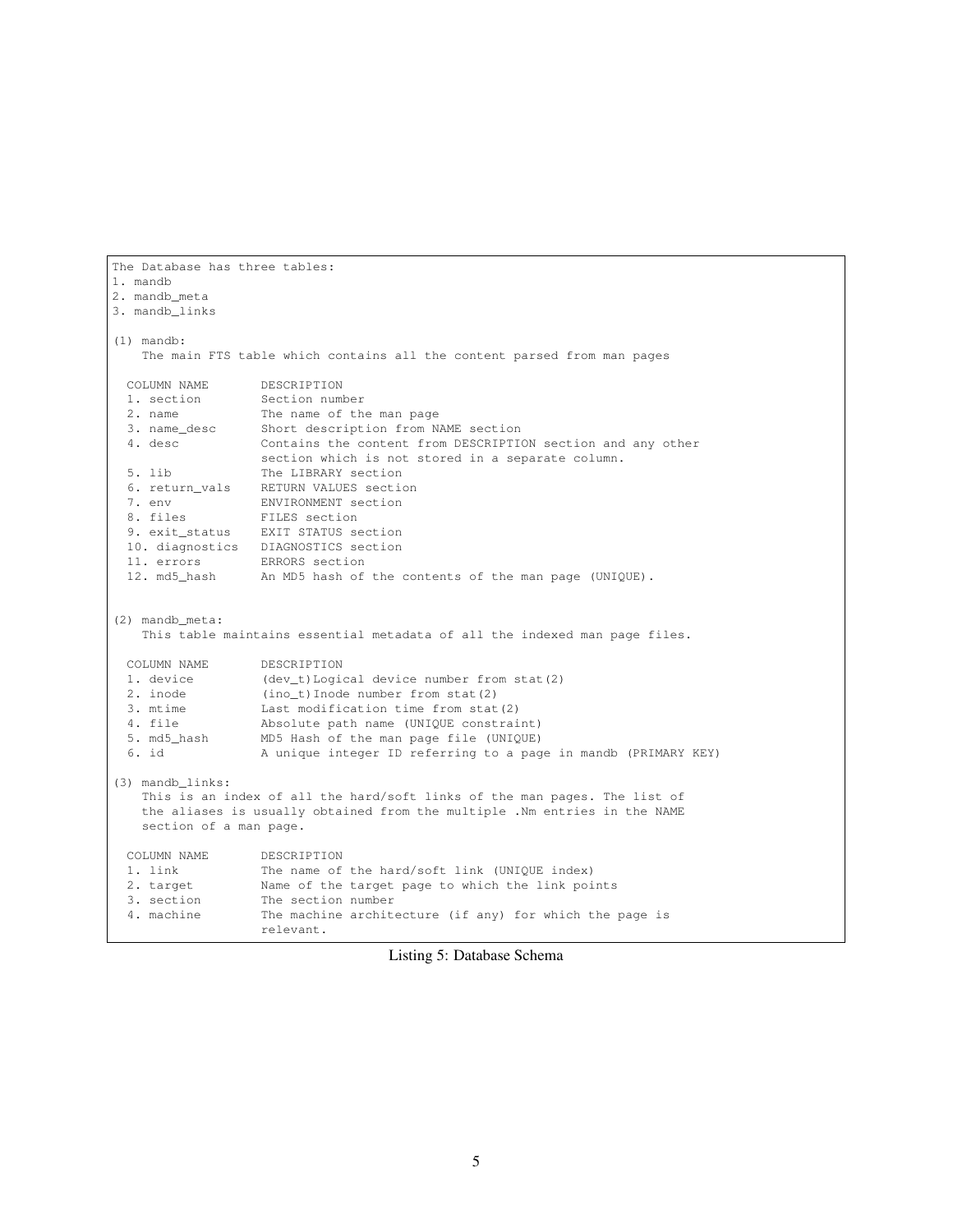```
The Database has three tables:
1. mandb
2. mandb_meta
3. mandb_links
(1) mandb:
   The main FTS table which contains all the content parsed from man pages
 COLUMN NAME DESCRIPTION
 1. section Section number
 2. name The name of the man page
 3. name_desc Short description from NAME section
 4. desc Contains the content from DESCRIPTION section and any other
                 section which is not stored in a separate column.
 5. lib The LIBRARY section
 6. return_vals RETURN VALUES section
 7. env ENVIRONMENT section
 8. files FILES section
 9. exit_status EXIT STATUS section
 10. diagnostics DIAGNOSTICS section
 11. errors ERRORS section
 12. md5_hash An MD5 hash of the contents of the man page (UNIQUE).
(2) mandb_meta:
   This table maintains essential metadata of all the indexed man page files.
 COLUMN NAME DESCRIPTION
 1. device (dev_t)Logical device number from stat(2)
 2. inode (ino_t)Inode number from stat(2)
 3. mtime Last modification time from stat(2)
 4. file Absolute path name (UNIQUE constraint)
 5. md5_hash MD5 Hash of the man page file (UNIQUE)
 6. id A unique integer ID referring to a page in mandb (PRIMARY KEY)
(3) mandb_links:
   This is an index of all the hard/soft links of the man pages. The list of
   the aliases is usually obtained from the multiple .Nm entries in the NAME
   section of a man page.
 COLUMN NAME DESCRIPTION
 1. link The name of the hard/soft link (UNIQUE index)
 2. target Name of the target page to which the link points
 3. section The section number
 4. machine The machine architecture (if any) for which the page is
                 relevant.
```
Listing 5: Database Schema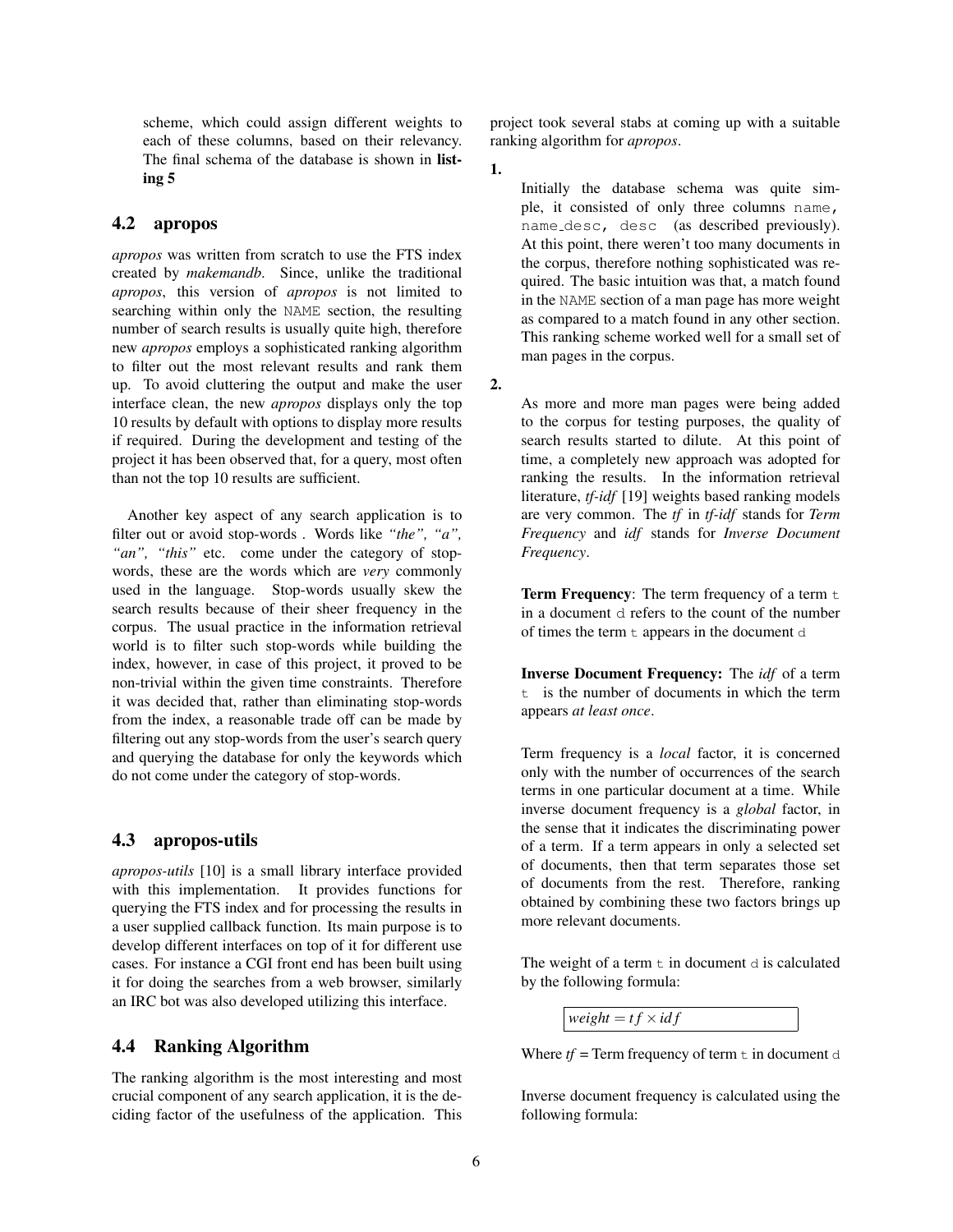scheme, which could assign different weights to each of these columns, based on their relevancy. The final schema of the database is shown in listing 5

### 4.2 apropos

*apropos* was written from scratch to use the FTS index created by *makemandb*. Since, unlike the traditional *apropos*, this version of *apropos* is not limited to searching within only the NAME section, the resulting number of search results is usually quite high, therefore new *apropos* employs a sophisticated ranking algorithm to filter out the most relevant results and rank them up. To avoid cluttering the output and make the user interface clean, the new *apropos* displays only the top 10 results by default with options to display more results if required. During the development and testing of the project it has been observed that, for a query, most often than not the top 10 results are sufficient.

Another key aspect of any search application is to filter out or avoid stop-words . Words like *"the", "a",* "an", "this" etc. come under the category of stopwords, these are the words which are *very* commonly used in the language. Stop-words usually skew the search results because of their sheer frequency in the corpus. The usual practice in the information retrieval world is to filter such stop-words while building the index, however, in case of this project, it proved to be non-trivial within the given time constraints. Therefore it was decided that, rather than eliminating stop-words from the index, a reasonable trade off can be made by filtering out any stop-words from the user's search query and querying the database for only the keywords which do not come under the category of stop-words.

### 4.3 apropos-utils

*apropos-utils* [10] is a small library interface provided with this implementation. It provides functions for querying the FTS index and for processing the results in a user supplied callback function. Its main purpose is to develop different interfaces on top of it for different use cases. For instance a CGI front end has been built using it for doing the searches from a web browser, similarly an IRC bot was also developed utilizing this interface.

### 4.4 Ranking Algorithm

The ranking algorithm is the most interesting and most crucial component of any search application, it is the deciding factor of the usefulness of the application. This project took several stabs at coming up with a suitable ranking algorithm for *apropos*.

1.

Initially the database schema was quite simple, it consisted of only three columns name, name desc, desc (as described previously). At this point, there weren't too many documents in the corpus, therefore nothing sophisticated was required. The basic intuition was that, a match found in the NAME section of a man page has more weight as compared to a match found in any other section. This ranking scheme worked well for a small set of man pages in the corpus.

2.

As more and more man pages were being added to the corpus for testing purposes, the quality of search results started to dilute. At this point of time, a completely new approach was adopted for ranking the results. In the information retrieval literature, *tf-idf* [19] weights based ranking models are very common. The *tf* in *tf-idf* stands for *Term Frequency* and *idf* stands for *Inverse Document Frequency*.

**Term Frequency:** The term frequency of a term  $t$ in a document d refers to the count of the number of times the term t appears in the document d

Inverse Document Frequency: The *idf* of a term t is the number of documents in which the term appears *at least once*.

Term frequency is a *local* factor, it is concerned only with the number of occurrences of the search terms in one particular document at a time. While inverse document frequency is a *global* factor, in the sense that it indicates the discriminating power of a term. If a term appears in only a selected set of documents, then that term separates those set of documents from the rest. Therefore, ranking obtained by combining these two factors brings up more relevant documents.

The weight of a term  $t$  in document  $d$  is calculated by the following formula:

 $weight = tf \times idf$ 

Where  $tf = Term$  frequency of term  $t$  in document d

Inverse document frequency is calculated using the following formula: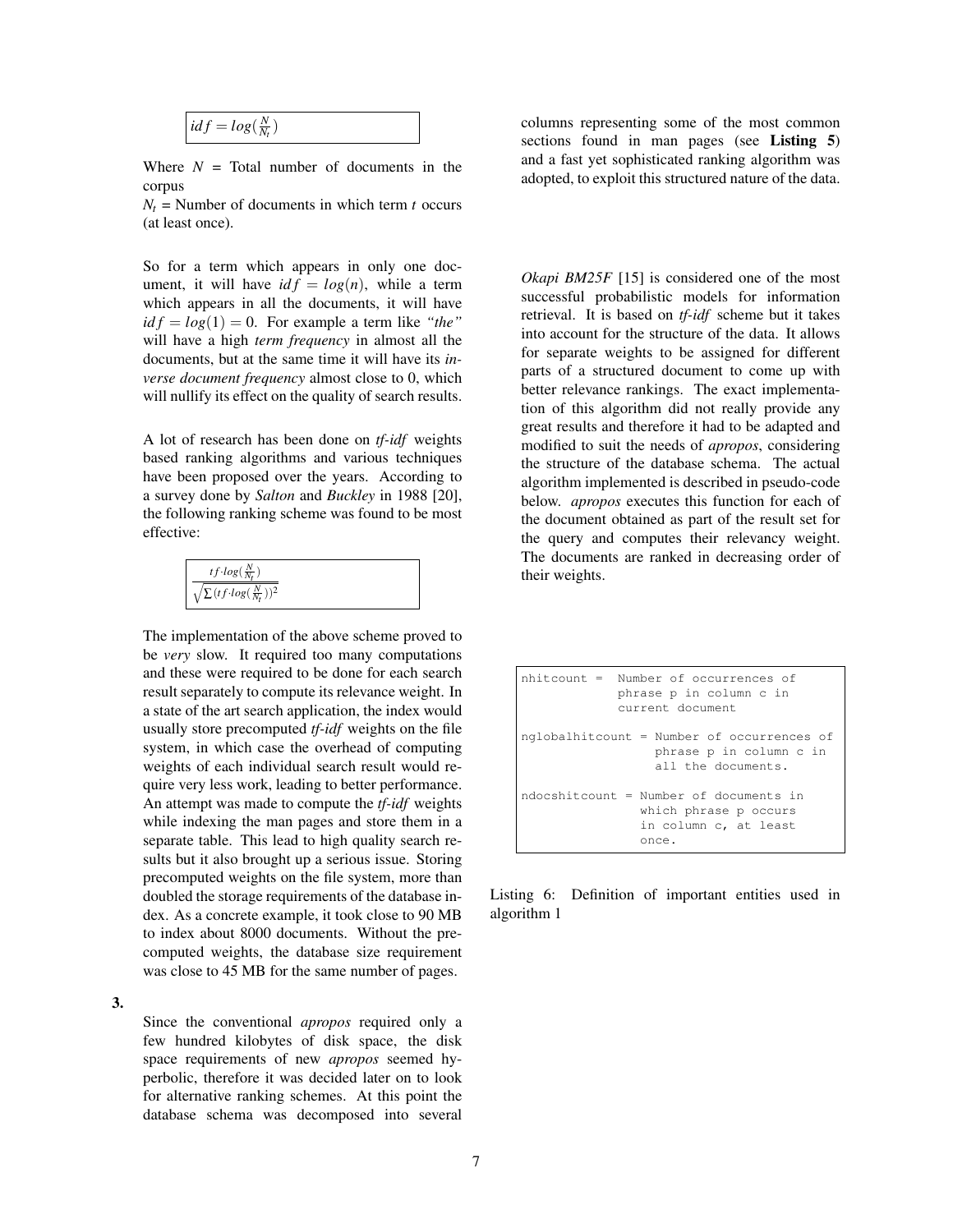$$
idf = log(\frac{N}{N_t})
$$

Where  $N =$  Total number of documents in the corpus

 $N_t$  = Number of documents in which term *t* occurs (at least once).

So for a term which appears in only one document, it will have  $id f = log(n)$ , while a term which appears in all the documents, it will have  $id f = log(1) = 0$ . For example a term like "the" will have a high *term frequency* in almost all the documents, but at the same time it will have its *inverse document frequency* almost close to 0, which will nullify its effect on the quality of search results.

A lot of research has been done on *tf-idf* weights based ranking algorithms and various techniques have been proposed over the years. According to a survey done by *Salton* and *Buckley* in 1988 [20], the following ranking scheme was found to be most effective:

| $tf \cdot log(\frac{N}{N_t})$                |  |
|----------------------------------------------|--|
| $\sqrt{\sum (tf \cdot log(\frac{N}{Nt}))^2}$ |  |

The implementation of the above scheme proved to be *very* slow. It required too many computations and these were required to be done for each search result separately to compute its relevance weight. In a state of the art search application, the index would usually store precomputed *tf-idf* weights on the file system, in which case the overhead of computing weights of each individual search result would require very less work, leading to better performance. An attempt was made to compute the *tf-idf* weights while indexing the man pages and store them in a separate table. This lead to high quality search results but it also brought up a serious issue. Storing precomputed weights on the file system, more than doubled the storage requirements of the database index. As a concrete example, it took close to 90 MB to index about 8000 documents. Without the precomputed weights, the database size requirement was close to 45 MB for the same number of pages.

3.

Since the conventional *apropos* required only a few hundred kilobytes of disk space, the disk space requirements of new *apropos* seemed hyperbolic, therefore it was decided later on to look for alternative ranking schemes. At this point the database schema was decomposed into several

columns representing some of the most common sections found in man pages (see **Listing 5**) and a fast yet sophisticated ranking algorithm was adopted, to exploit this structured nature of the data.

*Okapi BM25F* [15] is considered one of the most successful probabilistic models for information retrieval. It is based on *tf-idf* scheme but it takes into account for the structure of the data. It allows for separate weights to be assigned for different parts of a structured document to come up with better relevance rankings. The exact implementation of this algorithm did not really provide any great results and therefore it had to be adapted and modified to suit the needs of *apropos*, considering the structure of the database schema. The actual algorithm implemented is described in pseudo-code below. *apropos* executes this function for each of the document obtained as part of the result set for the query and computes their relevancy weight. The documents are ranked in decreasing order of their weights.

nhitcount = Number of occurrences of phrase p in column c in current document nglobalhitcount = Number of occurrences of phrase p in column c in all the documents. ndocshitcount = Number of documents in which phrase p occurs in column c, at least once.

Listing 6: Definition of important entities used in algorithm 1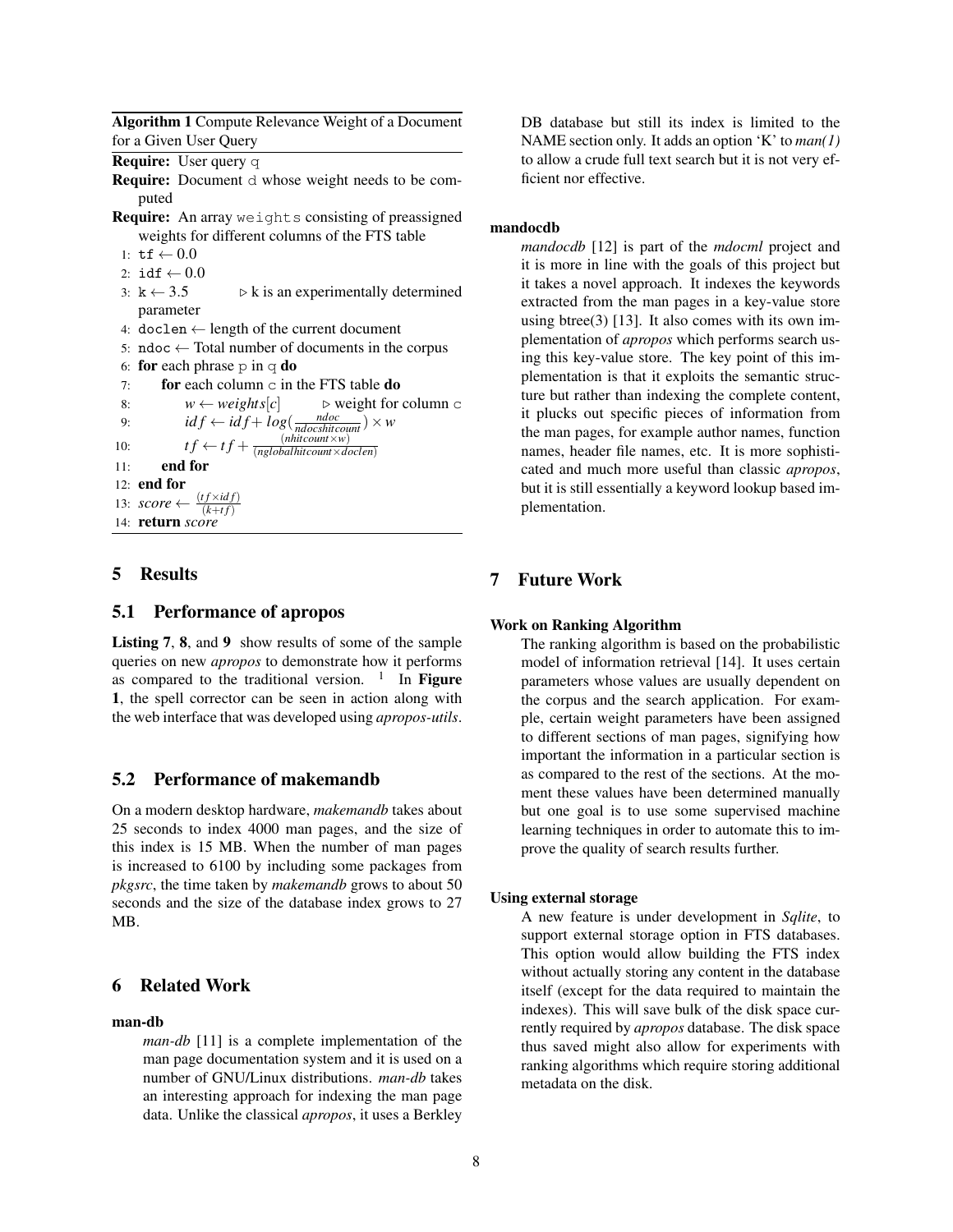Algorithm 1 Compute Relevance Weight of a Document for a Given User Query

Require: User query q

Require: Document d whose weight needs to be computed

- **Require:** An array weights consisting of preassigned weights for different columns of the FTS table
- 1:  $\text{tf} \leftarrow 0.0$
- 2:  $idf \leftarrow 0.0$
- 3:  $k \leftarrow 3.5$   $\triangleright k$  is an experimentally determined parameter
- 4: doclen  $\leftarrow$  length of the current document
- 5: ndoc  $\leftarrow$  Total number of documents in the corpus
- 6: for each phrase  $p$  in q do
- 7: for each column  $\circ$  in the FTS table do

```
8: w \leftarrow weights[c] \qquad \Rightarrow \text{weights} for column c
   9: \mathbf{i} df \leftarrow \mathbf{i} df + \mathbf{i} \, \mathbf{i} \, g \left( \frac{\mathbf{n} \, \mathbf{d} \, \mathbf{c}}{\mathbf{n} \, \mathbf{d} \, \mathbf{c} \, \mathbf{s} \, \mathbf{d} \, \mathbf{t}} \right) \times \mathbf{w}10: tf \leftarrow tf + \frac{(nhitcount \times w)}{(nolobalbitcount \times d)}(nglobalhitcount×doclen)
11: end for
```
- 12: end for
- 13:  $score \leftarrow \frac{(tf \times idf)}{(k+tf)}$
- 14: return *score*

### 5 Results

### 5.1 Performance of apropos

Listing 7, 8, and 9 show results of some of the sample queries on new *apropos* to demonstrate how it performs as compared to the traditional version.  $1$  In Figure 1, the spell corrector can be seen in action along with the web interface that was developed using *apropos-utils*.

### 5.2 Performance of makemandb

On a modern desktop hardware, *makemandb* takes about 25 seconds to index 4000 man pages, and the size of this index is 15 MB. When the number of man pages is increased to 6100 by including some packages from *pkgsrc*, the time taken by *makemandb* grows to about 50 seconds and the size of the database index grows to 27 MB.

## 6 Related Work

#### man-db

*man-db* [11] is a complete implementation of the man page documentation system and it is used on a number of GNU/Linux distributions. *man-db* takes an interesting approach for indexing the man page data. Unlike the classical *apropos*, it uses a Berkley DB database but still its index is limited to the NAME section only. It adds an option 'K' to *man(1)* to allow a crude full text search but it is not very efficient nor effective.

#### mandocdb

*mandocdb* [12] is part of the *mdocml* project and it is more in line with the goals of this project but it takes a novel approach. It indexes the keywords extracted from the man pages in a key-value store using btree $(3)$  [13]. It also comes with its own implementation of *apropos* which performs search using this key-value store. The key point of this implementation is that it exploits the semantic structure but rather than indexing the complete content, it plucks out specific pieces of information from the man pages, for example author names, function names, header file names, etc. It is more sophisticated and much more useful than classic *apropos*, but it is still essentially a keyword lookup based implementation.

### 7 Future Work

### Work on Ranking Algorithm

The ranking algorithm is based on the probabilistic model of information retrieval [14]. It uses certain parameters whose values are usually dependent on the corpus and the search application. For example, certain weight parameters have been assigned to different sections of man pages, signifying how important the information in a particular section is as compared to the rest of the sections. At the moment these values have been determined manually but one goal is to use some supervised machine learning techniques in order to automate this to improve the quality of search results further.

#### Using external storage

A new feature is under development in *Sqlite*, to support external storage option in FTS databases. This option would allow building the FTS index without actually storing any content in the database itself (except for the data required to maintain the indexes). This will save bulk of the disk space currently required by *apropos* database. The disk space thus saved might also allow for experiments with ranking algorithms which require storing additional metadata on the disk.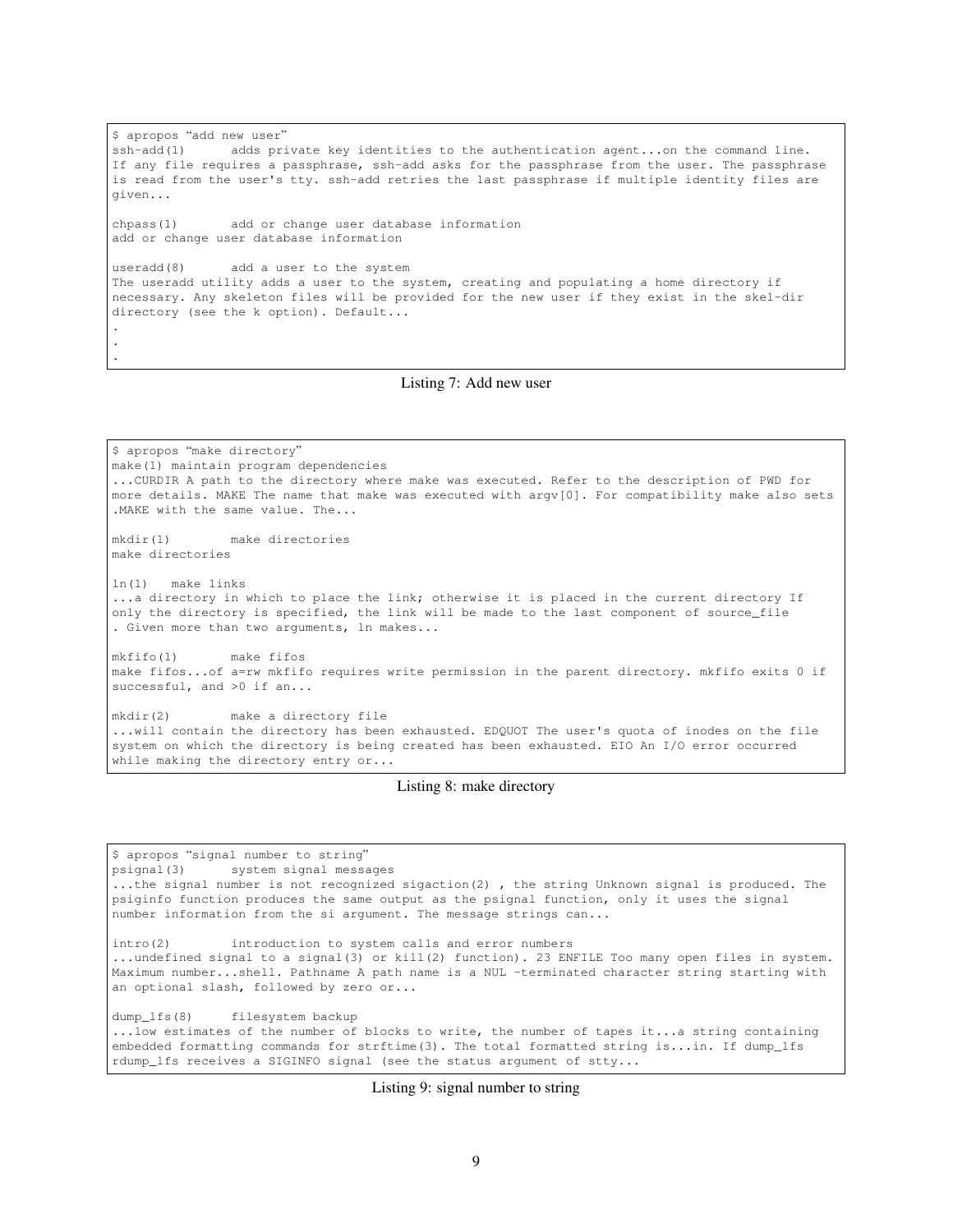\$ apropos "add new user" ssh-add(1) adds private key identities to the authentication agent...on the command line. If any file requires a passphrase, ssh-add asks for the passphrase from the user. The passphrase is read from the user's tty. ssh-add retries the last passphrase if multiple identity files are given... chpass(1) add or change user database information add or change user database information useradd(8) add a user to the system The useradd utility adds a user to the system, creating and populating a home directory if necessary. Any skeleton files will be provided for the new user if they exist in the skel-dir directory (see the k option). Default... . . .

### Listing 7: Add new user

\$ apropos "make directory" make(1) maintain program dependencies ...CURDIR A path to the directory where make was executed. Refer to the description of PWD for more details. MAKE The name that make was executed with argv[0]. For compatibility make also sets .MAKE with the same value. The... mkdir(1) make directories make directories ln(1) make links ...a directory in which to place the link; otherwise it is placed in the current directory If only the directory is specified, the link will be made to the last component of source\_file . Given more than two arguments, ln makes... mkfifo(1) make fifos make fifos...of a=rw mkfifo requires write permission in the parent directory. mkfifo exits 0 if successful, and >0 if an... mkdir(2) make a directory file ...will contain the directory has been exhausted. EDQUOT The user's quota of inodes on the file system on which the directory is being created has been exhausted. EIO An I/O error occurred

Listing 8: make directory

while making the directory entry or...

\$ apropos "signal number to string" psignal(3) system signal messages ...the signal number is not recognized sigaction(2) , the string Unknown signal is produced. The psiginfo function produces the same output as the psignal function, only it uses the signal number information from the si argument. The message strings can... intro(2) introduction to system calls and error numbers ...undefined signal to a signal(3) or kill(2) function). 23 ENFILE Too many open files in system. Maximum number...shell. Pathname A path name is a NUL -terminated character string starting with an optional slash, followed by zero or... dump\_lfs(8) filesystem backup ...low estimates of the number of blocks to write, the number of tapes it...a string containing embedded formatting commands for strftime(3). The total formatted string is...in. If dump\_lfs rdump\_lfs receives a SIGINFO signal (see the status argument of stty...

Listing 9: signal number to string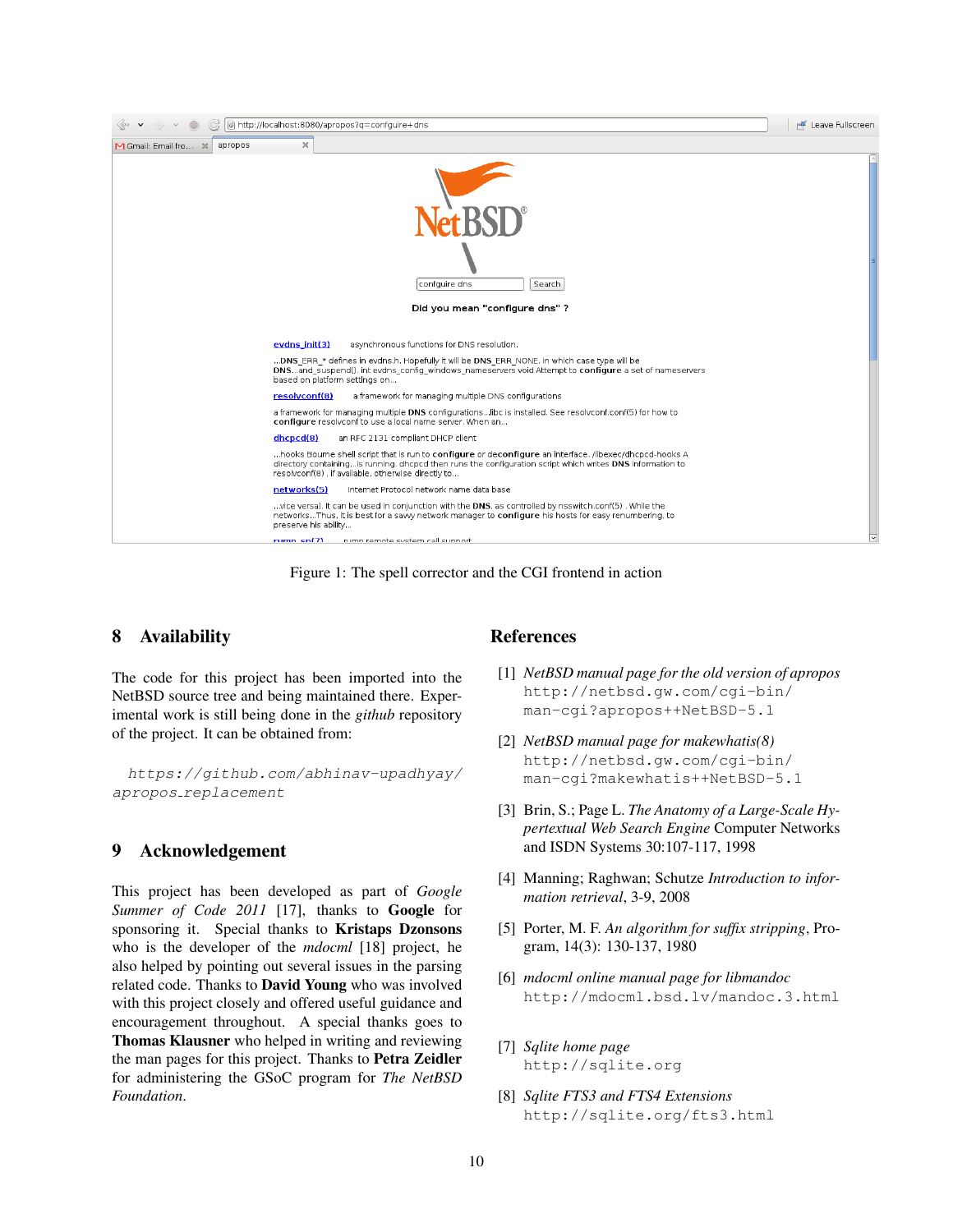

Figure 1: The spell corrector and the CGI frontend in action

# 8 Availability

The code for this project has been imported into the NetBSD source tree and being maintained there. Experimental work is still being done in the *github* repository of the project. It can be obtained from:

https://github.com/abhinav-upadhyay/ apropos replacement

## 9 Acknowledgement

This project has been developed as part of *Google Summer of Code 2011* [17], thanks to **Google** for sponsoring it. Special thanks to Kristaps Dzonsons who is the developer of the *mdocml* [18] project, he also helped by pointing out several issues in the parsing related code. Thanks to David Young who was involved with this project closely and offered useful guidance and encouragement throughout. A special thanks goes to Thomas Klausner who helped in writing and reviewing the man pages for this project. Thanks to Petra Zeidler for administering the GSoC program for *The NetBSD Foundation*.

## **References**

- [1] *NetBSD manual page for the old version of apropos* http://netbsd.gw.com/cgi-bin/ man-cgi?apropos++NetBSD-5.1
- [2] *NetBSD manual page for makewhatis(8)* http://netbsd.gw.com/cgi-bin/ man-cgi?makewhatis++NetBSD-5.1
- [3] Brin, S.; Page L. *The Anatomy of a Large-Scale Hypertextual Web Search Engine* Computer Networks and ISDN Systems 30:107-117, 1998
- [4] Manning; Raghwan; Schutze *Introduction to information retrieval*, 3-9, 2008
- [5] Porter, M. F. *An algorithm for suffix stripping*, Program, 14(3): 130-137, 1980
- [6] *mdocml online manual page for libmandoc* http://mdocml.bsd.lv/mandoc.3.html
- [7] *Sqlite home page* http://sqlite.org
- [8] *Sqlite FTS3 and FTS4 Extensions* http://sqlite.org/fts3.html